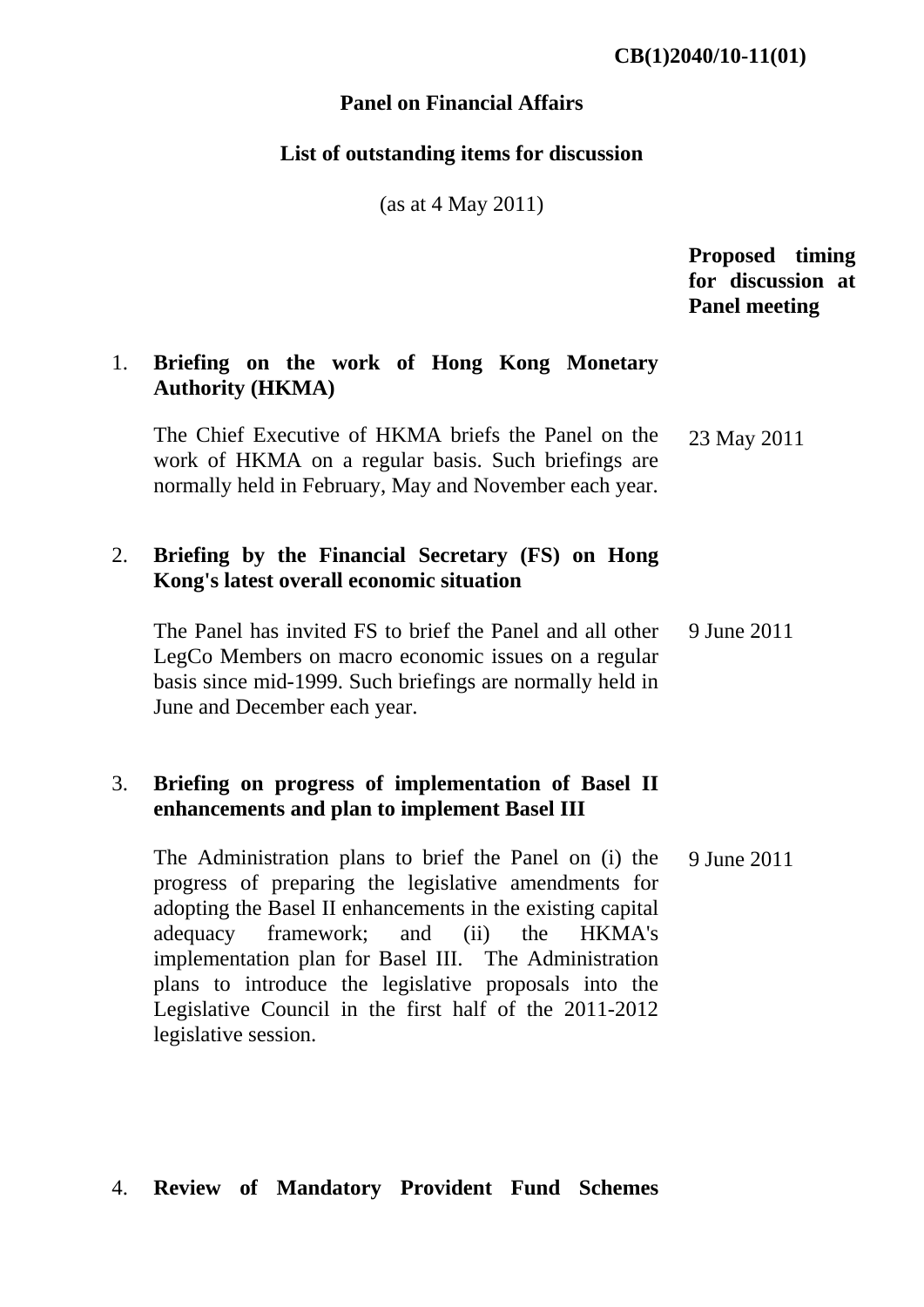#### **Panel on Financial Affairs**

#### **List of outstanding items for discussion**

(as at 4 May 2011)

# **Proposed timing for discussion at Panel meeting**

## 1. **Briefing on the work of Hong Kong Monetary Authority (HKMA)**

The Chief Executive of HKMA briefs the Panel on the work of HKMA on a regular basis. Such briefings are normally held in February, May and November each year. 23 May 2011

## 2. **Briefing by the Financial Secretary (FS) on Hong Kong's latest overall economic situation**

The Panel has invited FS to brief the Panel and all other LegCo Members on macro economic issues on a regular basis since mid-1999. Such briefings are normally held in June and December each year. 9 June 2011

## 3. **Briefing on progress of implementation of Basel II enhancements and plan to implement Basel III**

The Administration plans to brief the Panel on (i) the progress of preparing the legislative amendments for adopting the Basel II enhancements in the existing capital adequacy framework; and (ii) the HKMA's implementation plan for Basel III. The Administration plans to introduce the legislative proposals into the Legislative Council in the first half of the 2011-2012 legislative session. 9 June 2011

# 4. **Review of Mandatory Provident Fund Schemes**